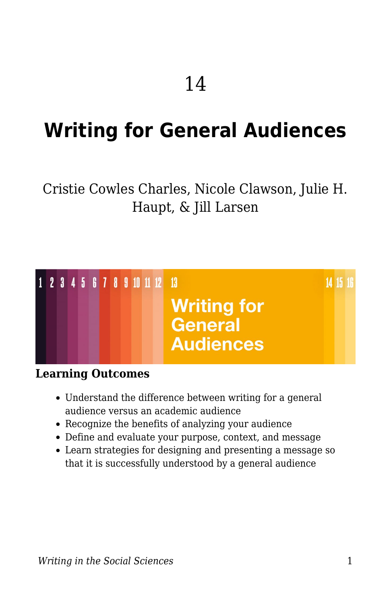# **Writing for General Audiences**

### Cristie Cowles Charles, Nicole Clawson, Julie H. Haupt, & Jill Larsen



#### **Learning Outcomes**

- Understand the difference between writing for a general audience versus an academic audience
- Recognize the benefits of analyzing your audience
- Define and evaluate your purpose, context, and message
- Learn strategies for designing and presenting a message so that it is successfully understood by a general audience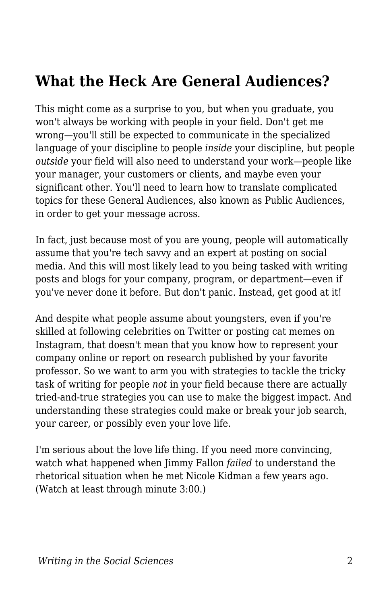## **What the Heck Are General Audiences?**

This might come as a surprise to you, but when you graduate, you won't always be working with people in your field. Don't get me wrong—you'll still be expected to communicate in the specialized language of your discipline to people *inside* your discipline, but people *outside* your field will also need to understand your work—people like your manager, your customers or clients, and maybe even your significant other. You'll need to learn how to translate complicated topics for these General Audiences, also known as Public Audiences, in order to get your message across.

In fact, just because most of you are young, people will automatically assume that you're tech savvy and an expert at posting on social media. And this will most likely lead to you being tasked with writing posts and blogs for your company, program, or department—even if you've never done it before. But don't panic. Instead, get good at it!

And despite what people assume about youngsters, even if you're skilled at following celebrities on Twitter or posting cat memes on Instagram, that doesn't mean that you know how to represent your company online or report on research published by your favorite professor. So we want to arm you with strategies to tackle the tricky task of writing for people *not* in your field because there are actually tried-and-true strategies you can use to make the biggest impact. And understanding these strategies could make or break your job search, your career, or possibly even your love life.

I'm serious about the love life thing. If you need more convincing, watch what happened when Jimmy Fallon *failed* to understand the rhetorical situation when he met Nicole Kidman a few years ago. (Watch at least through minute 3:00.)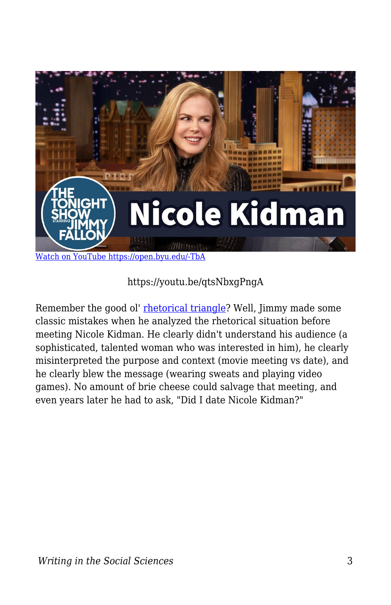

https://youtu.be/qtsNbxgPngA

Remember the good ol' [rhetorical triangle?](https://edtechbooks.org/writing/writing_tools) Well, Jimmy made some classic mistakes when he analyzed the rhetorical situation before meeting Nicole Kidman. He clearly didn't understand his audience (a sophisticated, talented woman who was interested in him), he clearly misinterpreted the purpose and context (movie meeting vs date), and he clearly blew the message (wearing sweats and playing video games). No amount of brie cheese could salvage that meeting, and even years later he had to ask, "Did I date Nicole Kidman?"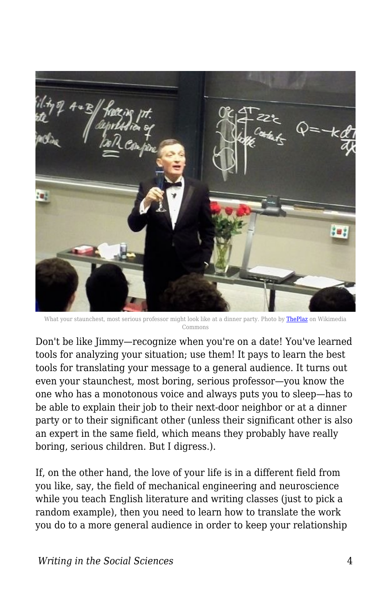

What your staunchest, most serious professor might look like at a dinner party. Photo by [ThePlaz](https://commons.wikimedia.org/wiki/File:Donald_Sadoway_Lecture.JPG) on Wikimedia Commons

Don't be like Jimmy—recognize when you're on a date! You've learned tools for analyzing your situation; use them! It pays to learn the best tools for translating your message to a general audience. It turns out even your staunchest, most boring, serious professor—you know the one who has a monotonous voice and always puts you to sleep—has to be able to explain their job to their next-door neighbor or at a dinner party or to their significant other (unless their significant other is also an expert in the same field, which means they probably have really boring, serious children. But I digress.).

If, on the other hand, the love of your life is in a different field from you like, say, the field of mechanical engineering and neuroscience while you teach English literature and writing classes (just to pick a random example), then you need to learn how to translate the work you do to a more general audience in order to keep your relationship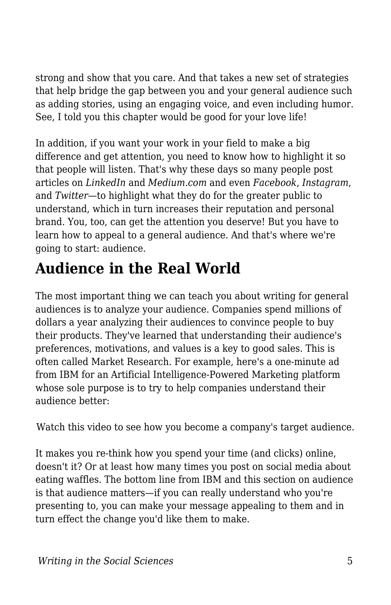strong and show that you care. And that takes a new set of strategies that help bridge the gap between you and your general audience such as adding stories, using an engaging voice, and even including humor. See, I told you this chapter would be good for your love life!

In addition, if you want your work in your field to make a big difference and get attention, you need to know how to highlight it so that people will listen. That's why these days so many people post articles on *LinkedIn* and *Medium.com* and even *Facebook*, *Instagram*, and *Twitter*—to highlight what they do for the greater public to understand, which in turn increases their reputation and personal brand. You, too, can get the attention you deserve! But you have to learn how to appeal to a general audience. And that's where we're going to start: audience.

## **Audience in the Real World**

The most important thing we can teach you about writing for general audiences is to analyze your audience. Companies spend millions of dollars a year analyzing their audiences to convince people to buy their products. They've learned that understanding their audience's preferences, motivations, and values is a key to good sales. This is often called Market Research. For example, here's a one-minute ad from IBM for an Artificial Intelligence-Powered Marketing platform whose sole purpose is to try to help companies understand their audience better:

Watch this video to see how you become a company's target audience.

It makes you re-think how you spend your time (and clicks) online, doesn't it? Or at least how many times you post on social media about eating waffles. The bottom line from IBM and this section on audience is that audience matters—if you can really understand who you're presenting to, you can make your message appealing to them and in turn effect the change you'd like them to make.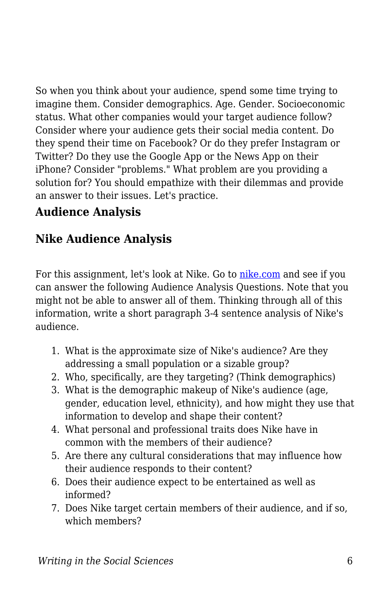So when you think about your audience, spend some time trying to imagine them. Consider demographics. Age. Gender. Socioeconomic status. What other companies would your target audience follow? Consider where your audience gets their social media content. Do they spend their time on Facebook? Or do they prefer Instagram or Twitter? Do they use the Google App or the News App on their iPhone? Consider "problems." What problem are you providing a solution for? You should empathize with their dilemmas and provide an answer to their issues. Let's practice.

#### **Audience Analysis**

### **Nike Audience Analysis**

For this assignment, let's look at Nike. Go to [nike.com](https://www.nike.com/) and see if you can answer the following Audience Analysis Questions. Note that you might not be able to answer all of them. Thinking through all of this information, write a short paragraph 3-4 sentence analysis of Nike's audience.

- 1. What is the approximate size of Nike's audience? Are they addressing a small population or a sizable group?
- 2. Who, specifically, are they targeting? (Think demographics)
- 3. What is the demographic makeup of Nike's audience (age, gender, education level, ethnicity), and how might they use that information to develop and shape their content?
- 4. What personal and professional traits does Nike have in common with the members of their audience?
- 5. Are there any cultural considerations that may influence how their audience responds to their content?
- 6. Does their audience expect to be entertained as well as informed?
- 7. Does Nike target certain members of their audience, and if so, which members?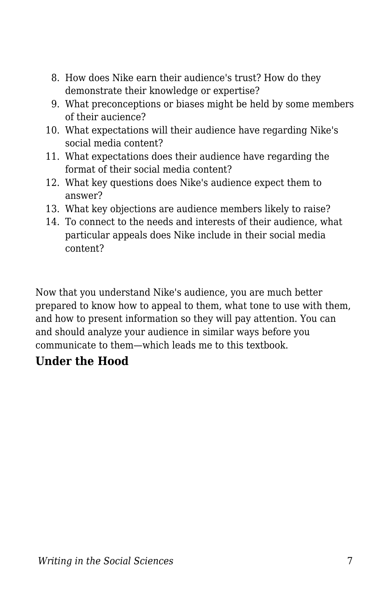- 8. How does Nike earn their audience's trust? How do they demonstrate their knowledge or expertise?
- 9. What preconceptions or biases might be held by some members of their aucience?
- 10. What expectations will their audience have regarding Nike's social media content?
- 11. What expectations does their audience have regarding the format of their social media content?
- 12. What key questions does Nike's audience expect them to answer?
- 13. What key objections are audience members likely to raise?
- 14. To connect to the needs and interests of their audience, what particular appeals does Nike include in their social media content?

Now that you understand Nike's audience, you are much better prepared to know how to appeal to them, what tone to use with them, and how to present information so they will pay attention. You can and should analyze your audience in similar ways before you communicate to them—which leads me to this textbook.

#### **Under the Hood**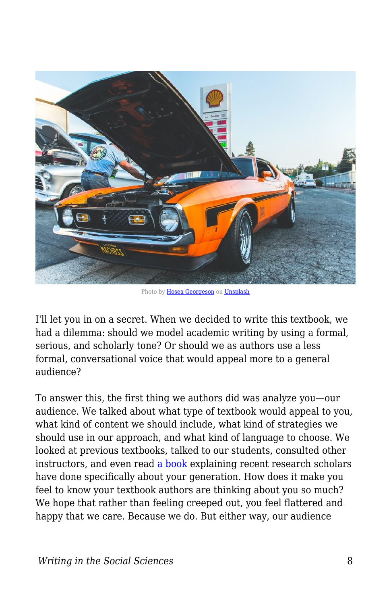

Photo by [Hosea Georgeson](https://unsplash.com/@thekidnamedhosea) on [Unsplash](https://unsplash.com/)

I'll let you in on a secret. When we decided to write this textbook, we had a dilemma: should we model academic writing by using a formal, serious, and scholarly tone? Or should we as authors use a less formal, conversational voice that would appeal more to a general audience?

To answer this, the first thing we authors did was analyze you—our audience. We talked about what type of textbook would appeal to you, what kind of content we should include, what kind of strategies we should use in our approach, and what kind of language to choose. We looked at previous textbooks, talked to our students, consulted other instructors, and even read [a book](https://www.simonandschuster.com/books/iGen/Jean-M-Twenge/9781501152016) explaining recent research scholars have done specifically about your generation. How does it make you feel to know your textbook authors are thinking about you so much? We hope that rather than feeling creeped out, you feel flattered and happy that we care. Because we do. But either way, our audience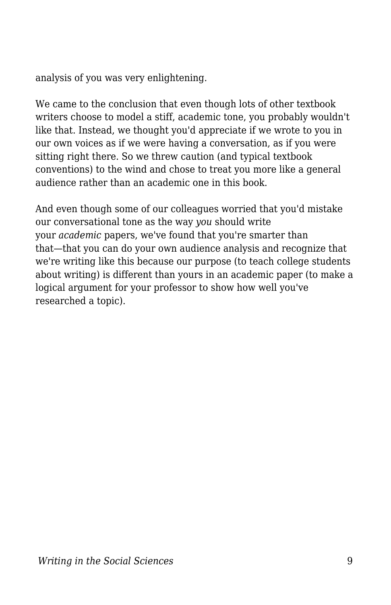analysis of you was very enlightening.

We came to the conclusion that even though lots of other textbook writers choose to model a stiff, academic tone, you probably wouldn't like that. Instead, we thought you'd appreciate if we wrote to you in our own voices as if we were having a conversation, as if you were sitting right there. So we threw caution (and typical textbook conventions) to the wind and chose to treat you more like a general audience rather than an academic one in this book.

And even though some of our colleagues worried that you'd mistake our conversational tone as the way *you* should write your *academic* papers, we've found that you're smarter than that—that you can do your own audience analysis and recognize that we're writing like this because our purpose (to teach college students about writing) is different than yours in an academic paper (to make a logical argument for your professor to show how well you've researched a topic).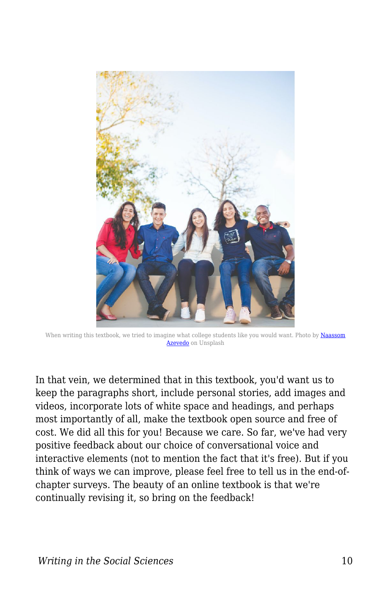

When writing this textbook, we tried to imagine what college students like you would want. Photo by [Naassom](https://unsplash.com/@naassomz1) [Azevedo](https://unsplash.com/@naassomz1) on Unsplash

In that vein, we determined that in this textbook, you'd want us to keep the paragraphs short, include personal stories, add images and videos, incorporate lots of white space and headings, and perhaps most importantly of all, make the textbook open source and free of cost. We did all this for you! Because we care. So far, we've had very positive feedback about our choice of conversational voice and interactive elements (not to mention the fact that it's free). But if you think of ways we can improve, please feel free to tell us in the end-ofchapter surveys. The beauty of an online textbook is that we're continually revising it, so bring on the feedback!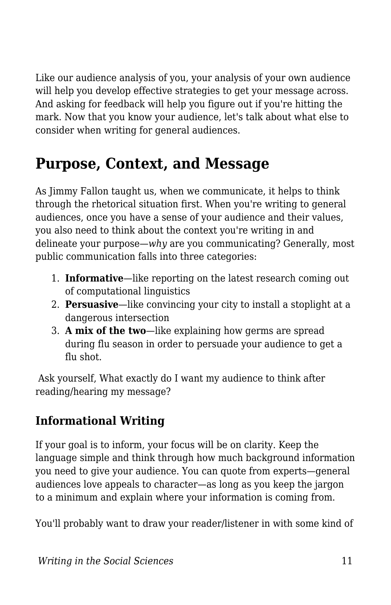Like our audience analysis of you, your analysis of your own audience will help you develop effective strategies to get your message across. And asking for feedback will help you figure out if you're hitting the mark. Now that you know your audience, let's talk about what else to consider when writing for general audiences.

## **Purpose, Context, and Message**

As Jimmy Fallon taught us, when we communicate, it helps to think through the rhetorical situation first. When you're writing to general audiences, once you have a sense of your audience and their values, you also need to think about the context you're writing in and delineate your purpose—*why* are you communicating? Generally, most public communication falls into three categories:

- 1. **Informative**—like reporting on the latest research coming out of computational linguistics
- 2. **Persuasive**—like convincing your city to install a stoplight at a dangerous intersection
- 3. **A mix of the two**—like explaining how germs are spread during flu season in order to persuade your audience to get a flu shot.

 Ask yourself, What exactly do I want my audience to think after reading/hearing my message?

#### **Informational Writing**

If your goal is to inform, your focus will be on clarity. Keep the language simple and think through how much background information you need to give your audience. You can quote from experts—general audiences love appeals to character—as long as you keep the jargon to a minimum and explain where your information is coming from.

You'll probably want to draw your reader/listener in with some kind of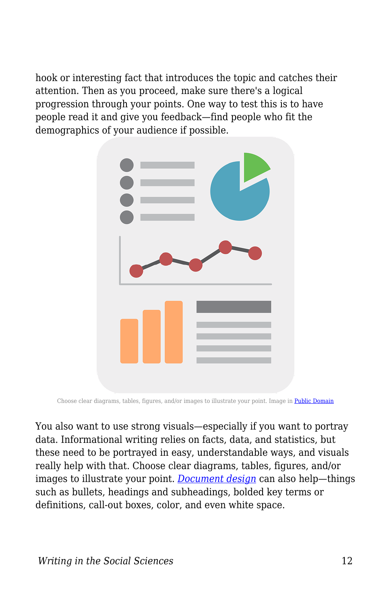hook or interesting fact that introduces the topic and catches their attention. Then as you proceed, make sure there's a logical progression through your points. One way to test this is to have people read it and give you feedback—find people who fit the demographics of your audience if possible.



Choose clear diagrams, tables, figures, and/or images to illustrate your point. Image in [Public Domain](https://pixabay.com/illustrations/info-infographic-design-information-908889/)

You also want to use strong visuals—especially if you want to portray data. Informational writing relies on facts, data, and statistics, but these need to be portrayed in easy, understandable ways, and visuals really help with that. Choose clear diagrams, tables, figures, and/or images to illustrate your point. *[Document design](https://open.byu.edu/writing/design)* can also help—things such as bullets, headings and subheadings, bolded key terms or definitions, call-out boxes, color, and even white space.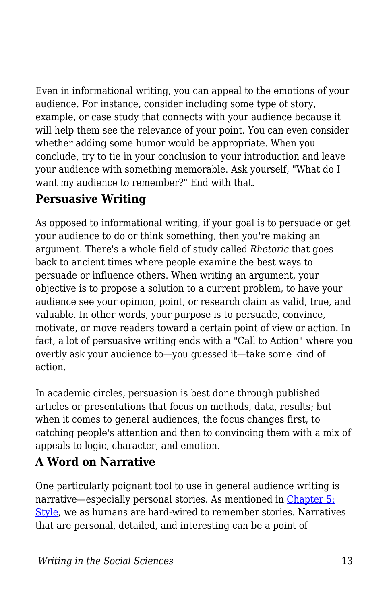Even in informational writing, you can appeal to the emotions of your audience. For instance, consider including some type of story, example, or case study that connects with your audience because it will help them see the relevance of your point. You can even consider whether adding some humor would be appropriate. When you conclude, try to tie in your conclusion to your introduction and leave your audience with something memorable. Ask yourself, "What do I want my audience to remember?" End with that.

#### **Persuasive Writing**

As opposed to informational writing, if your goal is to persuade or get your audience to do or think something, then you're making an argument. There's a whole field of study called *Rhetoric* that goes back to ancient times where people examine the best ways to persuade or influence others. When writing an argument, your objective is to propose a solution to a current problem, to have your audience see your opinion, point, or research claim as valid, true, and valuable. In other words, your purpose is to persuade, convince, motivate, or move readers toward a certain point of view or action. In fact, a lot of persuasive writing ends with a "Call to Action" where you overtly ask your audience to—you guessed it—take some kind of action.

In academic circles, persuasion is best done through published articles or presentations that focus on methods, data, results; but when it comes to general audiences, the focus changes first, to catching people's attention and then to convincing them with a mix of appeals to logic, character, and emotion.

### **A Word on Narrative**

One particularly poignant tool to use in general audience writing is narrative—especially personal stories. As mentioned in [Chapter 5:](https://edtechbooks.org/writing/style) [Style](https://edtechbooks.org/writing/style), we as humans are hard-wired to remember stories. Narratives that are personal, detailed, and interesting can be a point of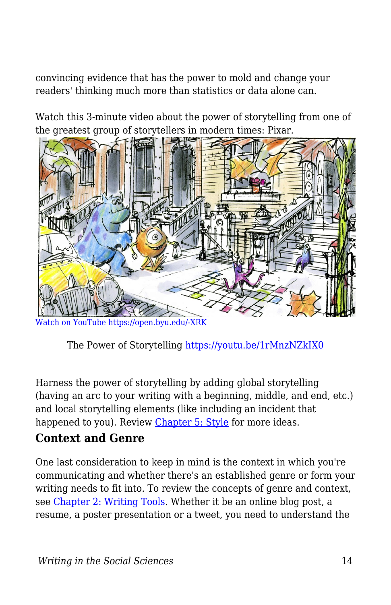convincing evidence that has the power to mold and change your readers' thinking much more than statistics or data alone can.

Watch this 3-minute video about the power of storytelling from one of the greatest group of storytellers in modern times: Pixar.



[Watch on YouTube https://open.byu.edu/-XRK](https://www.youtube.com/embed/1rMnzNZkIX0?autoplay=1&rel=0&showinfo=0&modestbranding=1)

The Power of Storytelling <https://youtu.be/1rMnzNZkIX0>

Harness the power of storytelling by adding global storytelling (having an arc to your writing with a beginning, middle, and end, etc.) and local storytelling elements (like including an incident that happened to you). Review [Chapter 5: Style](https://edtechbooks.org/writing/style) for more ideas.

#### **Context and Genre**

One last consideration to keep in mind is the context in which you're communicating and whether there's an established genre or form your writing needs to fit into. To review the concepts of genre and context, see [Chapter 2: Writing Tools](https://edtechbooks.org/writing/writing_tools). Whether it be an online blog post, a resume, a poster presentation or a tweet, you need to understand the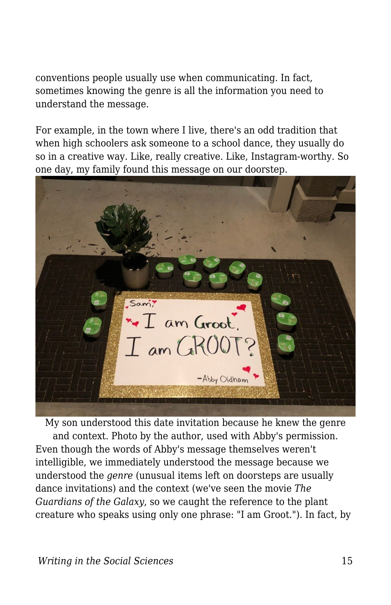conventions people usually use when communicating. In fact, sometimes knowing the genre is all the information you need to understand the message.

For example, in the town where I live, there's an odd tradition that when high schoolers ask someone to a school dance, they usually do so in a creative way. Like, really creative. Like, Instagram-worthy. So one day, my family found this message on our doorstep.



My son understood this date invitation because he knew the genre and context. Photo by the author, used with Abby's permission. Even though the words of Abby's message themselves weren't intelligible, we immediately understood the message because we understood the *genre* (unusual items left on doorsteps are usually dance invitations) and the context (we've seen the movie *The Guardians of the Galaxy*, so we caught the reference to the plant creature who speaks using only one phrase: "I am Groot."). In fact, by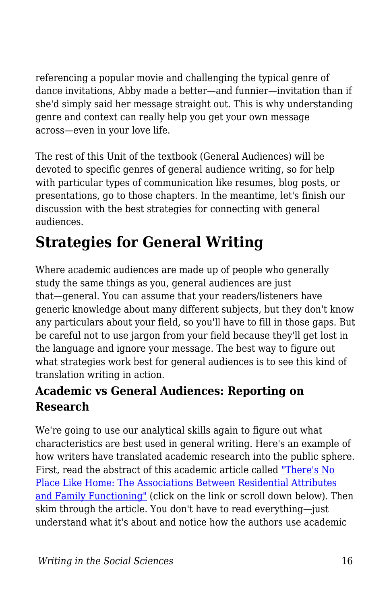referencing a popular movie and challenging the typical genre of dance invitations, Abby made a better—and funnier—invitation than if she'd simply said her message straight out. This is why understanding genre and context can really help you get your own message across—even in your love life.

The rest of this Unit of the textbook (General Audiences) will be devoted to specific genres of general audience writing, so for help with particular types of communication like resumes, blog posts, or presentations, go to those chapters. In the meantime, let's finish our discussion with the best strategies for connecting with general audiences.

## **Strategies for General Writing**

Where academic audiences are made up of people who generally study the same things as you, general audiences are just that—general. You can assume that your readers/listeners have generic knowledge about many different subjects, but they don't know any particulars about your field, so you'll have to fill in those gaps. But be careful not to use jargon from your field because they'll get lost in the language and ignore your message. The best way to figure out what strategies work best for general audiences is to see this kind of translation writing in action.

### **Academic vs General Audiences: Reporting on Research**

We're going to use our analytical skills again to figure out what characteristics are best used in general writing. Here's an example of how writers have translated academic research into the public sphere. First, read the abstract of this academic article called ["There's No](https://www.sciencedirect.com/science/article/abs/pii/S0272494418302731) [Place Like Home: The Associations Between Residential Attributes](https://www.sciencedirect.com/science/article/abs/pii/S0272494418302731) [and Family Functioning"](https://www.sciencedirect.com/science/article/abs/pii/S0272494418302731) (click on the link or scroll down below). Then skim through the article. You don't have to read everything—just understand what it's about and notice how the authors use academic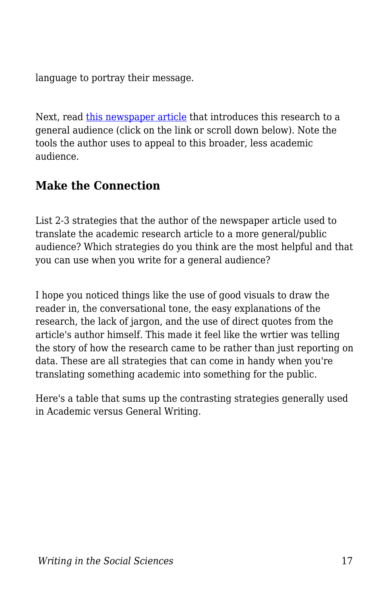language to portray their message.

Next, read [this newspaper article](https://news.byu.edu/news/how-you-feel-about-your-home-more-important-size) that introduces this research to a general audience (click on the link or scroll down below). Note the tools the author uses to appeal to this broader, less academic audience.

#### **Make the Connection**

List 2-3 strategies that the author of the newspaper article used to translate the academic research article to a more general/public audience? Which strategies do you think are the most helpful and that you can use when you write for a general audience?

I hope you noticed things like the use of good visuals to draw the reader in, the conversational tone, the easy explanations of the research, the lack of jargon, and the use of direct quotes from the article's author himself. This made it feel like the wrtier was telling the story of how the research came to be rather than just reporting on data. These are all strategies that can come in handy when you're translating something academic into something for the public.

Here's a table that sums up the contrasting strategies generally used in Academic versus General Writing.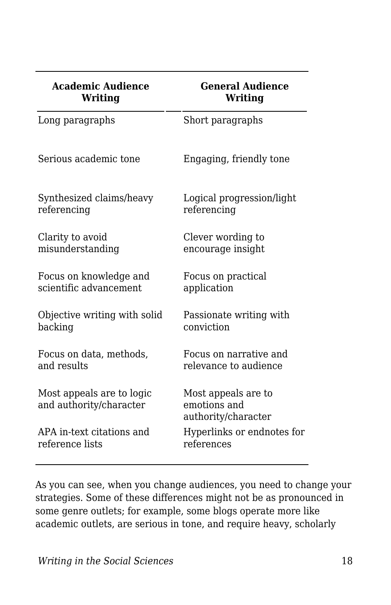| <b>Academic Audience</b>                             | <b>General Audience</b>                                    |
|------------------------------------------------------|------------------------------------------------------------|
| <b>Writing</b>                                       | Writing                                                    |
| Long paragraphs                                      | Short paragraphs                                           |
| Serious academic tone                                | Engaging, friendly tone                                    |
| Synthesized claims/heavy                             | Logical progression/light                                  |
| referencing                                          | referencing                                                |
| Clarity to avoid                                     | Clever wording to                                          |
| misunderstanding                                     | encourage insight                                          |
| Focus on knowledge and                               | Focus on practical                                         |
| scientific advancement                               | application                                                |
| Objective writing with solid                         | Passionate writing with                                    |
| backing                                              | conviction                                                 |
| Focus on data, methods,                              | Focus on narrative and                                     |
| and results                                          | relevance to audience                                      |
| Most appeals are to logic<br>and authority/character | Most appeals are to<br>emotions and<br>authority/character |
| APA in-text citations and                            | Hyperlinks or endnotes for                                 |
| reference lists                                      | references                                                 |

As you can see, when you change audiences, you need to change your strategies. Some of these differences might not be as pronounced in some genre outlets; for example, some blogs operate more like academic outlets, are serious in tone, and require heavy, scholarly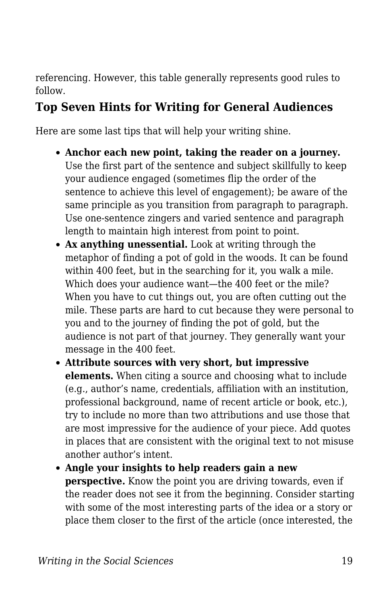referencing. However, this table generally represents good rules to follow.

#### **Top Seven Hints for Writing for General Audiences**

Here are some last tips that will help your writing shine.

- **Anchor each new point, taking the reader on a journey.** Use the first part of the sentence and subject skillfully to keep your audience engaged (sometimes flip the order of the sentence to achieve this level of engagement); be aware of the same principle as you transition from paragraph to paragraph. Use one-sentence zingers and varied sentence and paragraph length to maintain high interest from point to point.
- **Ax anything unessential.** Look at writing through the metaphor of finding a pot of gold in the woods. It can be found within 400 feet, but in the searching for it, you walk a mile. Which does your audience want—the 400 feet or the mile? When you have to cut things out, you are often cutting out the mile. These parts are hard to cut because they were personal to you and to the journey of finding the pot of gold, but the audience is not part of that journey. They generally want your message in the 400 feet.
- **Attribute sources with very short, but impressive elements.** When citing a source and choosing what to include (e.g., author's name, credentials, affiliation with an institution, professional background, name of recent article or book, etc.), try to include no more than two attributions and use those that are most impressive for the audience of your piece. Add quotes in places that are consistent with the original text to not misuse another author's intent.
- **Angle your insights to help readers gain a new perspective.** Know the point you are driving towards, even if the reader does not see it from the beginning. Consider starting with some of the most interesting parts of the idea or a story or place them closer to the first of the article (once interested, the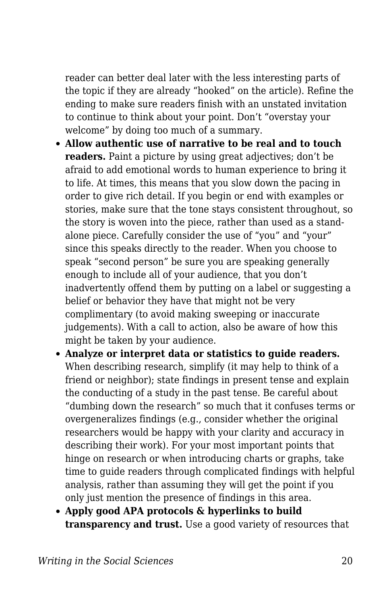reader can better deal later with the less interesting parts of the topic if they are already "hooked" on the article). Refine the ending to make sure readers finish with an unstated invitation to continue to think about your point. Don't "overstay your welcome" by doing too much of a summary.

- **Allow authentic use of narrative to be real and to touch readers.** Paint a picture by using great adjectives: don't be afraid to add emotional words to human experience to bring it to life. At times, this means that you slow down the pacing in order to give rich detail. If you begin or end with examples or stories, make sure that the tone stays consistent throughout, so the story is woven into the piece, rather than used as a standalone piece. Carefully consider the use of "you" and "your" since this speaks directly to the reader. When you choose to speak "second person" be sure you are speaking generally enough to include all of your audience, that you don't inadvertently offend them by putting on a label or suggesting a belief or behavior they have that might not be very complimentary (to avoid making sweeping or inaccurate judgements). With a call to action, also be aware of how this might be taken by your audience.
- **Analyze or interpret data or statistics to guide readers.** When describing research, simplify (it may help to think of a friend or neighbor); state findings in present tense and explain the conducting of a study in the past tense. Be careful about "dumbing down the research" so much that it confuses terms or overgeneralizes findings (e.g., consider whether the original researchers would be happy with your clarity and accuracy in describing their work). For your most important points that hinge on research or when introducing charts or graphs, take time to guide readers through complicated findings with helpful analysis, rather than assuming they will get the point if you only just mention the presence of findings in this area.
- **Apply good APA protocols & hyperlinks to build transparency and trust.** Use a good variety of resources that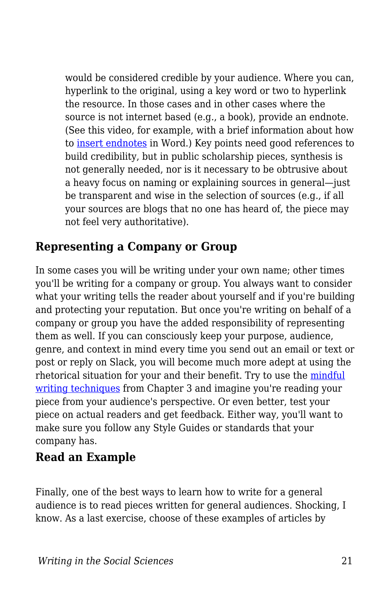would be considered credible by your audience. Where you can, hyperlink to the original, using a key word or two to hyperlink the resource. In those cases and in other cases where the source is not internet based (e.g., a book), provide an endnote. (See this video, for example, with a brief information about how to [insert endnotes](https://youtu.be/coSm06Lbtyc) in Word.) Key points need good references to build credibility, but in public scholarship pieces, synthesis is not generally needed, nor is it necessary to be obtrusive about a heavy focus on naming or explaining sources in general—just be transparent and wise in the selection of sources (e.g., if all your sources are blogs that no one has heard of, the piece may not feel very authoritative).

#### **Representing a Company or Group**

In some cases you will be writing under your own name; other times you'll be writing for a company or group. You always want to consider what your writing tells the reader about yourself and if you're building and protecting your reputation. But once you're writing on behalf of a company or group you have the added responsibility of representing them as well. If you can consciously keep your purpose, audience, genre, and context in mind every time you send out an email or text or post or reply on Slack, you will become much more adept at using the rhetorical situation for your and their benefit. Try to use the [mindful](https://edtechbooks.org/writing/writing_processes) [writing techniques](https://edtechbooks.org/writing/writing_processes) from Chapter 3 and imagine you're reading your piece from your audience's perspective. Or even better, test your piece on actual readers and get feedback. Either way, you'll want to make sure you follow any Style Guides or standards that your company has.

#### **Read an Example**

Finally, one of the best ways to learn how to write for a general audience is to read pieces written for general audiences. Shocking, I know. As a last exercise, choose of these examples of articles by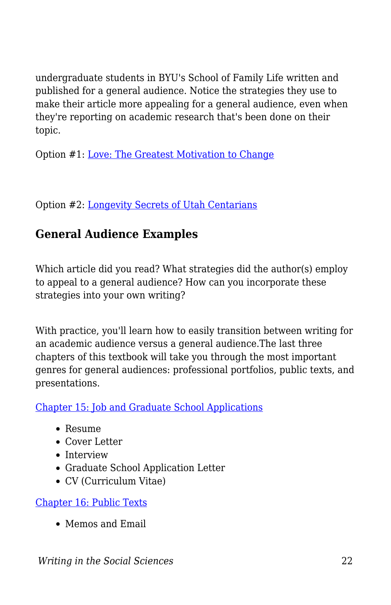undergraduate students in BYU's School of Family Life written and published for a general audience. Notice the strategies they use to make their article more appealing for a general audience, even when they're reporting on academic research that's been done on their topic.

Option #1: [Love: The Greatest Motivation to Change](https://www.unitedfamilies.org/child-development/love-the-greatest-motivation-to-change/)

Option #2: [Longevity Secrets of Utah Centarians](https://www.publichealthpost.org/research/longevity-of-utah-centenarians/)

#### **General Audience Examples**

Which article did you read? What strategies did the author(s) employ to appeal to a general audience? How can you incorporate these strategies into your own writing?

With practice, you'll learn how to easily transition between writing for an academic audience versus a general audience.The last three chapters of this textbook will take you through the most important genres for general audiences: professional portfolios, public texts, and presentations.

[Chapter 15: Job and Graduate School Applications](https://edtechbooks.org/writing/professional_portfolio)

- Resume
- Cover Letter
- Interview
- Graduate School Application Letter
- CV (Curriculum Vitae)

[Chapter 16: Public Texts](https://edtechbooks.org/writing/public_texts)

Memos and Email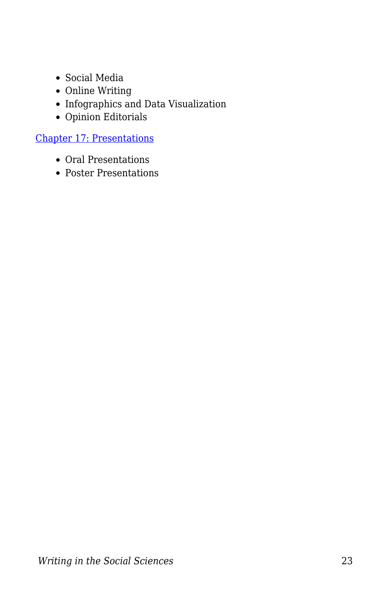- Social Media
- Online Writing
- Infographics and Data Visualization
- $\bullet\,$  Opinion Editorials

[Chapter 17: Presentations](https://edtechbooks.org/writing/presentations)

- Oral Presentations
- Poster Presentations